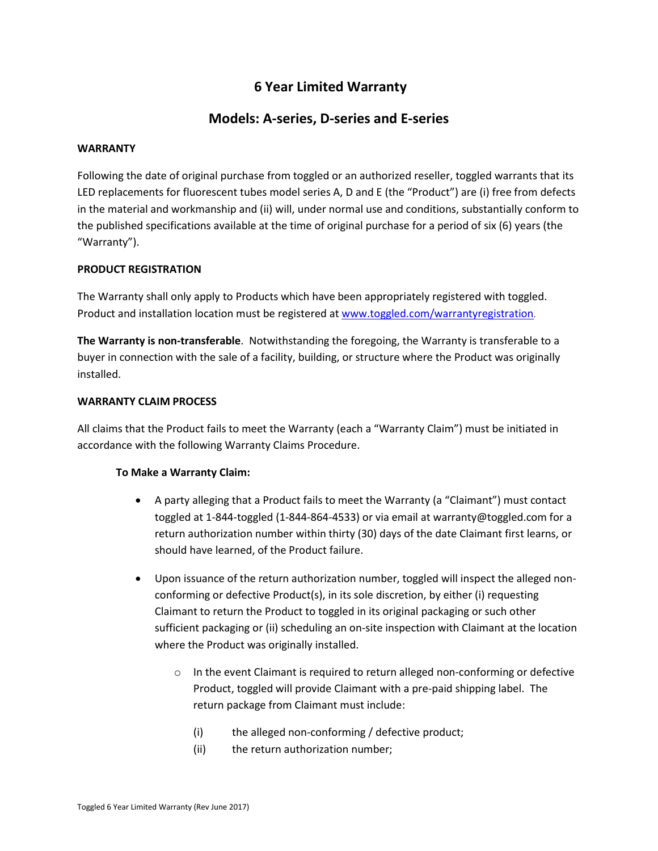# **6 Year Limited Warranty**

# **Models: A-series, D-series and E-series**

#### **WARRANTY**

Following the date of original purchase from toggled or an authorized reseller, toggled warrants that its LED replacements for fluorescent tubes model series A, D and E (the "Product") are (i) free from defects in the material and workmanship and (ii) will, under normal use and conditions, substantially conform to the published specifications available at the time of original purchase for a period of six (6) years (the "Warranty").

## **PRODUCT REGISTRATION**

The Warranty shall only apply to Products which have been appropriately registered with toggled. Product and installation location must be registered at [www.toggled.com/warrantyregistration](http://www.toggled.com/warrantyregistration).

**The Warranty is non-transferable**. Notwithstanding the foregoing, the Warranty is transferable to a buyer in connection with the sale of a facility, building, or structure where the Product was originally installed.

## **WARRANTY CLAIM PROCESS**

All claims that the Product fails to meet the Warranty (each a "Warranty Claim") must be initiated in accordance with the following Warranty Claims Procedure.

## **To Make a Warranty Claim:**

- A party alleging that a Product fails to meet the Warranty (a "Claimant") must contact toggled at 1-844-toggled (1-844-864-4533) or via email at warranty@toggled.com for a return authorization number within thirty (30) days of the date Claimant first learns, or should have learned, of the Product failure.
- Upon issuance of the return authorization number, toggled will inspect the alleged nonconforming or defective Product(s), in its sole discretion, by either (i) requesting Claimant to return the Product to toggled in its original packaging or such other sufficient packaging or (ii) scheduling an on-site inspection with Claimant at the location where the Product was originally installed.
	- o In the event Claimant is required to return alleged non-conforming or defective Product, toggled will provide Claimant with a pre-paid shipping label. The return package from Claimant must include:
		- (i) the alleged non-conforming / defective product;
		- (ii) the return authorization number;